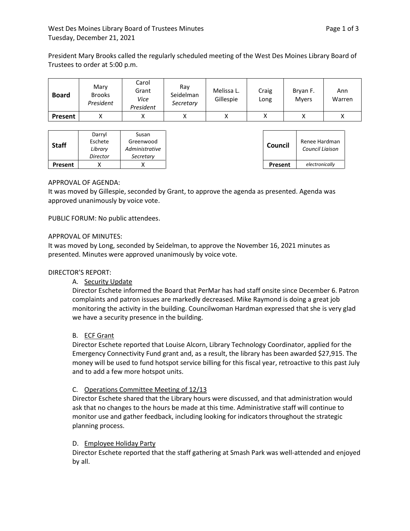President Mary Brooks called the regularly scheduled meeting of the West Des Moines Library Board of Trustees to order at 5:00 p.m.

| <b>Board</b> | Mary<br><b>Brooks</b><br>President | Carol<br>Grant<br>Vice<br>President | Ray<br>Seidelman<br>Secretary | Melissa L.<br>Gillespie | Craig<br>Long | Bryan F.<br><b>Mvers</b> | Ann<br>Warren |
|--------------|------------------------------------|-------------------------------------|-------------------------------|-------------------------|---------------|--------------------------|---------------|
| Present      |                                    | Λ                                   |                               |                         |               |                          |               |

|              | Darryl<br>Eschete | Susan<br>Greenwood |
|--------------|-------------------|--------------------|
| <b>Staff</b> | Library           | Administrative     |
|              | Director          | Secretary          |
| Present      |                   |                    |

# APPROVAL OF AGENDA:

It was moved by Gillespie, seconded by Grant, to approve the agenda as presented. Agenda was approved unanimously by voice vote.

PUBLIC FORUM: No public attendees.

## APPROVAL OF MINUTES:

It was moved by Long, seconded by Seidelman, to approve the November 16, 2021 minutes as presented. Minutes were approved unanimously by voice vote.

## DIRECTOR'S REPORT:

## A. Security Update

Director Eschete informed the Board that PerMar has had staff onsite since December 6. Patron complaints and patron issues are markedly decreased. Mike Raymond is doing a great job monitoring the activity in the building. Councilwoman Hardman expressed that she is very glad we have a security presence in the building.

## B. ECF Grant

Director Eschete reported that Louise Alcorn, Library Technology Coordinator, applied for the Emergency Connectivity Fund grant and, as a result, the library has been awarded \$27,915. The money will be used to fund hotspot service billing for this fiscal year, retroactive to this past July and to add a few more hotspot units.

## C. Operations Committee Meeting of 12/13

Director Eschete shared that the Library hours were discussed, and that administration would ask that no changes to the hours be made at this time. Administrative staff will continue to monitor use and gather feedback, including looking for indicators throughout the strategic planning process.

## D. Employee Holiday Party

Director Eschete reported that the staff gathering at Smash Park was well-attended and enjoyed by all.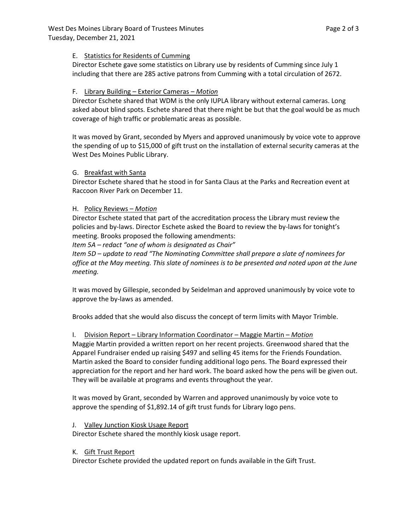# E. Statistics for Residents of Cumming

Director Eschete gave some statistics on Library use by residents of Cumming since July 1 including that there are 285 active patrons from Cumming with a total circulation of 2672.

# F. Library Building – Exterior Cameras – *Motion*

Director Eschete shared that WDM is the only IUPLA library without external cameras. Long asked about blind spots. Eschete shared that there might be but that the goal would be as much coverage of high traffic or problematic areas as possible.

It was moved by Grant, seconded by Myers and approved unanimously by voice vote to approve the spending of up to \$15,000 of gift trust on the installation of external security cameras at the West Des Moines Public Library.

# G. Breakfast with Santa

Director Eschete shared that he stood in for Santa Claus at the Parks and Recreation event at Raccoon River Park on December 11.

# H. Policy Reviews – *Motion*

Director Eschete stated that part of the accreditation process the Library must review the policies and by-laws. Director Eschete asked the Board to review the by-laws for tonight's meeting. Brooks proposed the following amendments:

*Item 5A – redact "one of whom is designated as Chair"*

*Item 5D – update to read "The Nominating Committee shall prepare a slate of nominees for office at the May meeting. This slate of nominees is to be presented and noted upon at the June meeting.* 

It was moved by Gillespie, seconded by Seidelman and approved unanimously by voice vote to approve the by-laws as amended.

Brooks added that she would also discuss the concept of term limits with Mayor Trimble.

I. Division Report – Library Information Coordinator – Maggie Martin – *Motion*

Maggie Martin provided a written report on her recent projects. Greenwood shared that the Apparel Fundraiser ended up raising \$497 and selling 45 items for the Friends Foundation. Martin asked the Board to consider funding additional logo pens. The Board expressed their appreciation for the report and her hard work. The board asked how the pens will be given out. They will be available at programs and events throughout the year.

It was moved by Grant, seconded by Warren and approved unanimously by voice vote to approve the spending of \$1,892.14 of gift trust funds for Library logo pens.

J. Valley Junction Kiosk Usage Report

Director Eschete shared the monthly kiosk usage report.

K. Gift Trust Report

Director Eschete provided the updated report on funds available in the Gift Trust.